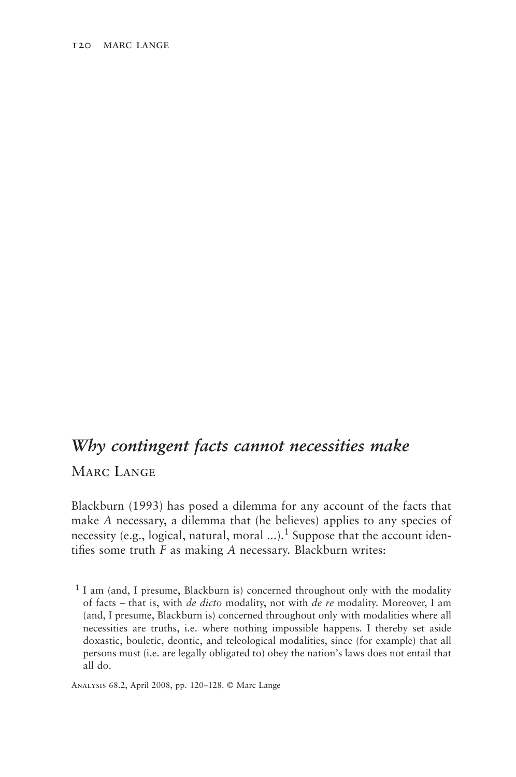## *Why contingent facts cannot necessities make*

Marc Lange

Blackburn (1993) has posed a dilemma for any account of the facts that make *A* necessary, a dilemma that (he believes) applies to any species of necessity (e.g., logical, natural, moral ...).<sup>1</sup> Suppose that the account identifies some truth *F* as making *A* necessary. Blackburn writes:

Analysis 68.2, April 2008, pp. 120–128. © Marc Lange

 $1$  I am (and, I presume, Blackburn is) concerned throughout only with the modality of facts – that is, with *de dicto* modality, not with *de re* modality. Moreover, I am (and, I presume, Blackburn is) concerned throughout only with modalities where all necessities are truths, i.e. where nothing impossible happens. I thereby set aside doxastic, bouletic, deontic, and teleological modalities, since (for example) that all persons must (i.e. are legally obligated to) obey the nation's laws does not entail that all do.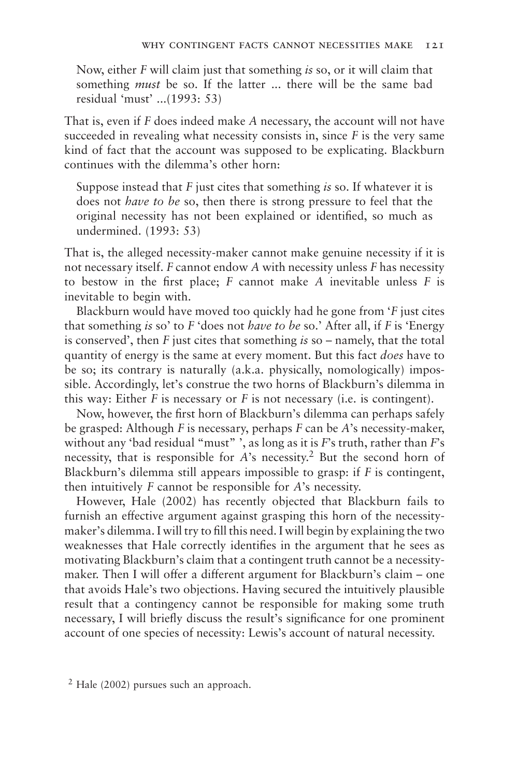05 Now, either *F* will claim just that something *is* so, or it will claim that something *must* be so. If the latter ... there will be the same bad residual 'must' ...(1993: 53)

That is, even if *F* does indeed make *A* necessary, the account will not have succeeded in revealing what necessity consists in, since *F* is the very same kind of fact that the account was supposed to be explicating. Blackburn continues with the dilemma's other horn:

Suppose instead that *F* just cites that something *is* so. If whatever it is does not *have to be* so, then there is strong pressure to feel that the original necessity has not been explained or identified, so much as undermined. (1993: 53)

That is, the alleged necessity-maker cannot make genuine necessity if it is not necessary itself. *F* cannot endow *A* with necessity unless *F* has necessity to bestow in the first place; *F* cannot make *A* inevitable unless *F* is inevitable to begin with.

Blackburn would have moved too quickly had he gone from '*F* just cites that something *is* so' to *F* 'does not *have to be* so.' After all, if *F* is 'Energy is conserved', then *F* just cites that something *is* so – namely, that the total quantity of energy is the same at every moment. But this fact *does* have to be so; its contrary is naturally (a.k.a. physically, nomologically) impossible. Accordingly, let's construe the two horns of Blackburn's dilemma in this way: Either *F* is necessary or *F* is not necessary (i.e. is contingent).

Now, however, the first horn of Blackburn's dilemma can perhaps safely be grasped: Although *F* is necessary, perhaps *F* can be *A*'s necessity-maker, without any 'bad residual "must" ', as long as it is *F*'s truth, rather than *F*'s necessity, that is responsible for  $A$ 's necessity.<sup>2</sup> But the second horn of Blackburn's dilemma still appears impossible to grasp: if *F* is contingent, then intuitively *F* cannot be responsible for *A*'s necessity.

However, Hale (2002) has recently objected that Blackburn fails to furnish an effective argument against grasping this horn of the necessitymaker's dilemma. I will try to fill this need. I will begin by explaining the two weaknesses that Hale correctly identifies in the argument that he sees as motivating Blackburn's claim that a contingent truth cannot be a necessitymaker. Then I will offer a different argument for Blackburn's claim – one that avoids Hale's two objections. Having secured the intuitively plausible result that a contingency cannot be responsible for making some truth necessary, I will briefly discuss the result's significance for one prominent account of one species of necessity: Lewis's account of natural necessity.

 $<sup>2</sup>$  Hale (2002) pursues such an approach.</sup>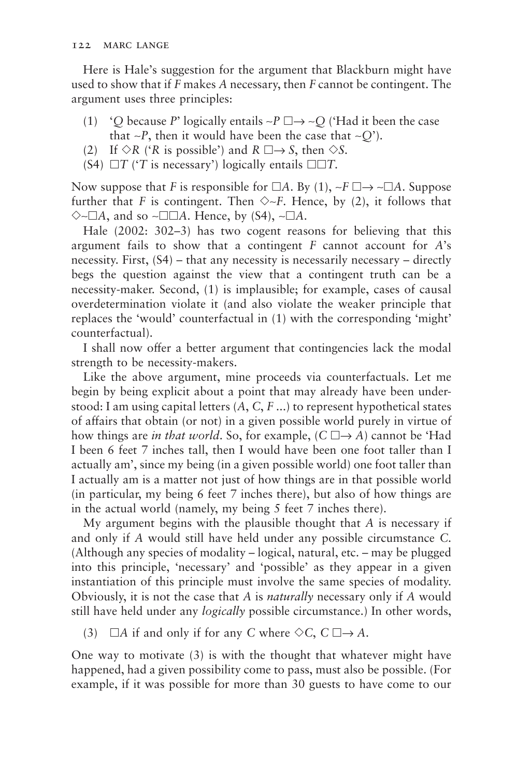05 Here is Hale's suggestion for the argument that Blackburn might have used to show that if *F* makes *A* necessary, then *F* cannot be contingent. The argument uses three principles:

- (1) 'Q because P' logically entails ~ $P \Box \rightarrow \sim Q$  ('Had it been the case that  $\sim P$ , then it would have been the case that  $\sim Q'$ ).
- (2) If  $\Diamond R$  ('*R* is possible') and  $R \Box \rightarrow S$ , then  $\Diamond S$ .
- $($ S4 $)$   $\Box$ *T* ('*T* is necessary') logically entails  $\Box$  $\Box$ *T*.

Now suppose that *F* is responsible for  $\Box A$ . By (1), ~*F*  $\Box \rightarrow$  ~ $\Box A$ . Suppose further that *F* is contingent. Then  $\Diamond \neg F$ . Hence, by (2), it follows that ◇~□A, and so ~□□A. Hence, by (S4), ~□A.

Hale (2002: 302–3) has two cogent reasons for believing that this argument fails to show that a contingent *F* cannot account for *A*'s necessity. First, (S4) – that any necessity is necessarily necessary – directly begs the question against the view that a contingent truth can be a necessity-maker. Second, (1) is implausible; for example, cases of causal overdetermination violate it (and also violate the weaker principle that replaces the 'would' counterfactual in (1) with the corresponding 'might' counterfactual).

I shall now offer a better argument that contingencies lack the modal strength to be necessity-makers.

Like the above argument, mine proceeds via counterfactuals. Let me begin by being explicit about a point that may already have been understood: I am using capital letters (*A*, *C*, *F* ...) to represent hypothetical states of affairs that obtain (or not) in a given possible world purely in virtue of how things are *in that world*. So, for example, (C □→ A) cannot be 'Had I been 6 feet 7 inches tall, then I would have been one foot taller than I actually am', since my being (in a given possible world) one foot taller than I actually am is a matter not just of how things are in that possible world (in particular, my being 6 feet 7 inches there), but also of how things are in the actual world (namely, my being 5 feet 7 inches there).

My argument begins with the plausible thought that *A* is necessary if and only if *A* would still have held under any possible circumstance *C*. (Although any species of modality – logical, natural, etc. – may be plugged into this principle, 'necessary' and 'possible' as they appear in a given instantiation of this principle must involve the same species of modality. Obviously, it is not the case that *A* is *naturally* necessary only if *A* would still have held under any *logically* possible circumstance.) In other words,

(3)  $\Box A$  if and only if for any *C* where  $\Diamond C$ ,  $C \Box \rightarrow A$ .

One way to motivate (3) is with the thought that whatever might have happened, had a given possibility come to pass, must also be possible. (For example, if it was possible for more than 30 guests to have come to our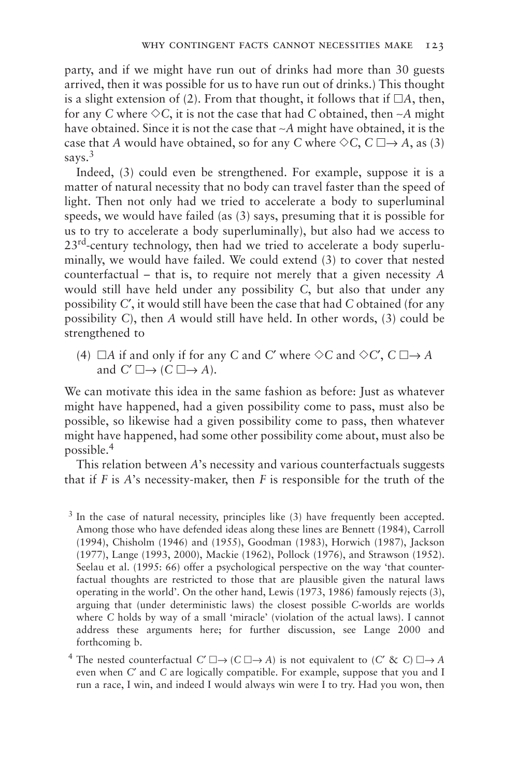party, and if we might have run out of drinks had more than 30 guests arrived, then it was possible for us to have run out of drinks.) This thought is a slight extension of (2). From that thought, it follows that if  $\Box A,$  then, for any *C* where  $\Diamond C$ , it is not the case that had *C* obtained, then  $\neg A$  might have obtained. Since it is not the case that ~*A* might have obtained, it is the case that A would have obtained, so for any C where  $\Diamond C, C \Box \rightarrow A$ , as (3) says.<sup>3</sup>

Indeed, (3) could even be strengthened. For example, suppose it is a matter of natural necessity that no body can travel faster than the speed of light. Then not only had we tried to accelerate a body to superluminal speeds, we would have failed (as (3) says, presuming that it is possible for us to try to accelerate a body superluminally), but also had we access to 23<sup>rd</sup>-century technology, then had we tried to accelerate a body superluminally, we would have failed. We could extend (3) to cover that nested counterfactual – that is, to require not merely that a given necessity *A* would still have held under any possibility *C*, but also that under any possibility *C*′, it would still have been the case that had *C* obtained (for any possibility *C*), then *A* would still have held. In other words, (3) could be strengthened to

(4)  $\Box A$  if and only if for any C and C' where  $\Diamond C$  and  $\Diamond C', C \Box \rightarrow A$ and  $C' \square \rightarrow (C \square \rightarrow A)$ .

We can motivate this idea in the same fashion as before: Just as whatever might have happened, had a given possibility come to pass, must also be possible, so likewise had a given possibility come to pass, then whatever might have happened, had some other possibility come about, must also be possible.4

This relation between *A*'s necessity and various counterfactuals suggests that if *F* is *A*'s necessity-maker, then *F* is responsible for the truth of the

- <sup>3</sup> In the case of natural necessity, principles like (3) have frequently been accepted. Among those who have defended ideas along these lines are Bennett (1984), Carroll (1994), Chisholm (1946) and (1955), Goodman (1983), Horwich (1987), Jackson (1977), Lange (1993, 2000), Mackie (1962), Pollock (1976), and Strawson (1952). Seelau et al. (1995: 66) offer a psychological perspective on the way 'that counterfactual thoughts are restricted to those that are plausible given the natural laws operating in the world'. On the other hand, Lewis (1973, 1986) famously rejects (3), arguing that (under deterministic laws) the closest possible *C*-worlds are worlds where *C* holds by way of a small 'miracle' (violation of the actual laws). I cannot address these arguments here; for further discussion, see Lange 2000 and forthcoming b.
- <sup>4</sup> The nested counterfactual  $C' \square \rightarrow (C \square \rightarrow A)$  is not equivalent to  $(C' \& C) \square \rightarrow A$ even when *C*′ and *C* are logically compatible. For example, suppose that you and I run a race, I win, and indeed I would always win were I to try. Had you won, then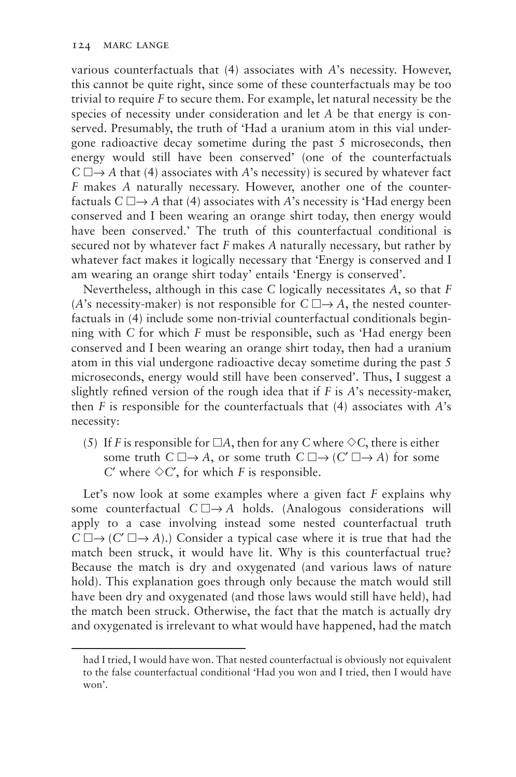various counterfactuals that (4) associates with *A*'s necessity. However, this cannot be quite right, since some of these counterfactuals may be too trivial to require *F* to secure them. For example, let natural necessity be the species of necessity under consideration and let *A* be that energy is conserved. Presumably, the truth of 'Had a uranium atom in this vial undergone radioactive decay sometime during the past 5 microseconds, then energy would still have been conserved' (one of the counterfactuals  $C \square \rightarrow A$  that (4) associates with *A*'s necessity) is secured by whatever fact *F* makes *A* naturally necessary. However, another one of the counterfactuals C □→ *A* that (4) associates with *A*'s necessity is 'Had energy been conserved and I been wearing an orange shirt today, then energy would have been conserved.' The truth of this counterfactual conditional is secured not by whatever fact *F* makes *A* naturally necessary, but rather by whatever fact makes it logically necessary that 'Energy is conserved and I am wearing an orange shirt today' entails 'Energy is conserved'.

Nevertheless, although in this case *C* logically necessitates *A*, so that *F* (*A*'s necessity-maker) is not responsible for  $C \square \rightarrow A$ , the nested counterfactuals in (4) include some non-trivial counterfactual conditionals beginning with *C* for which *F* must be responsible, such as 'Had energy been conserved and I been wearing an orange shirt today, then had a uranium atom in this vial undergone radioactive decay sometime during the past 5 microseconds, energy would still have been conserved'. Thus, I suggest a slightly refined version of the rough idea that if *F* is *A*'s necessity-maker, then *F* is responsible for the counterfactuals that (4) associates with *A*'s necessity:

(5) If *F* is responsible for  $\Box A$ , then for any *C* where  $\Diamond C$ , there is either some truth  $C \square \rightarrow A$ , or some truth  $C \square \rightarrow (C' \square \rightarrow A)$  for some *C*<sup> $\prime$ </sup> where  $\Diamond C'$ , for which *F* is responsible.

Let's now look at some examples where a given fact *F* explains why some counterfactual  $C \square \rightarrow A$  holds. (Analogous considerations will apply to a case involving instead some nested counterfactual truth  $C \square \rightarrow (C' \square \rightarrow A)$ .) Consider a typical case where it is true that had the match been struck, it would have lit. Why is this counterfactual true? Because the match is dry and oxygenated (and various laws of nature hold). This explanation goes through only because the match would still have been dry and oxygenated (and those laws would still have held), had the match been struck. Otherwise, the fact that the match is actually dry and oxygenated is irrelevant to what would have happened, had the match

had I tried, I would have won. That nested counterfactual is obviously not equivalent to the false counterfactual conditional 'Had you won and I tried, then I would have won'.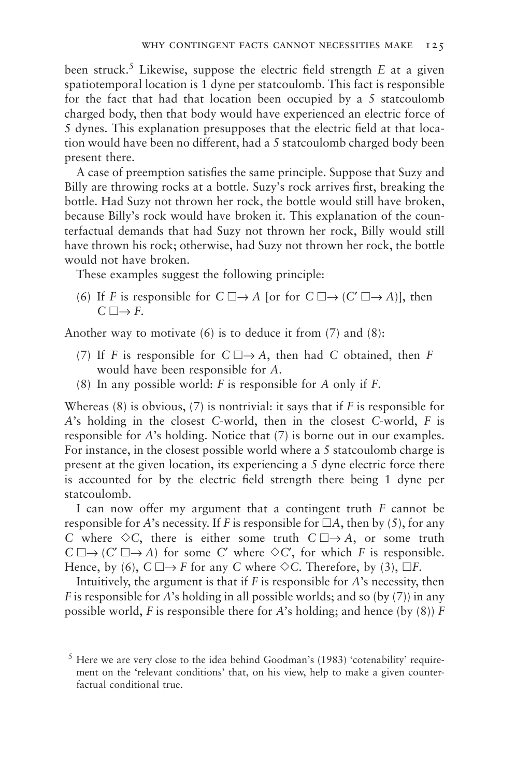been struck.<sup>5</sup> Likewise, suppose the electric field strength *E* at a given spatiotemporal location is 1 dyne per statcoulomb. This fact is responsible for the fact that had that location been occupied by a 5 statcoulomb charged body, then that body would have experienced an electric force of 5 dynes. This explanation presupposes that the electric field at that location would have been no different, had a 5 statcoulomb charged body been present there.

A case of preemption satisfies the same principle. Suppose that Suzy and Billy are throwing rocks at a bottle. Suzy's rock arrives first, breaking the bottle. Had Suzy not thrown her rock, the bottle would still have broken, because Billy's rock would have broken it. This explanation of the counterfactual demands that had Suzy not thrown her rock, Billy would still have thrown his rock; otherwise, had Suzy not thrown her rock, the bottle would not have broken.

These examples suggest the following principle:

(6) If *F* is responsible for  $C \square \rightarrow A$  [or for  $C \square \rightarrow (C' \square \rightarrow A)$ ], then  $C \square \rightarrow F$ .

Another way to motivate  $(6)$  is to deduce it from  $(7)$  and  $(8)$ :

- (7) If *F* is responsible for  $C \square \rightarrow A$ , then had *C* obtained, then *F* would have been responsible for *A*.
- (8) In any possible world: *F* is responsible for *A* only if *F*.

Whereas (8) is obvious, (7) is nontrivial: it says that if *F* is responsible for *A*'s holding in the closest *C*-world, then in the closest *C*-world, *F* is responsible for *A*'s holding. Notice that (7) is borne out in our examples. For instance, in the closest possible world where a 5 statcoulomb charge is present at the given location, its experiencing a 5 dyne electric force there is accounted for by the electric field strength there being 1 dyne per statcoulomb.

I can now offer my argument that a contingent truth *F* cannot be responsible for *A*'s necessity. If *F* is responsible for  $\Box A,$  then by (5), for any *C* where  $\Diamond C$ , there is either some truth  $C \Box \rightarrow A$ , or some truth  $C \square \rightarrow (C' \square \rightarrow A)$  for some *C'* where  $\Diamond C'$ , for which *F* is responsible. Hence, by (6),  $C \Box \rightarrow F$  for any  $C$  where  $\Diamond C$ . Therefore, by (3),  $\Box F$ .

Intuitively, the argument is that if *F* is responsible for *A*'s necessity, then *F* is responsible for *A*'s holding in all possible worlds; and so (by (7)) in any possible world, *F* is responsible there for *A*'s holding; and hence (by (8)) *F*

 $<sup>5</sup>$  Here we are very close to the idea behind Goodman's (1983) 'cotenability' require-</sup> ment on the 'relevant conditions' that, on his view, help to make a given counterfactual conditional true.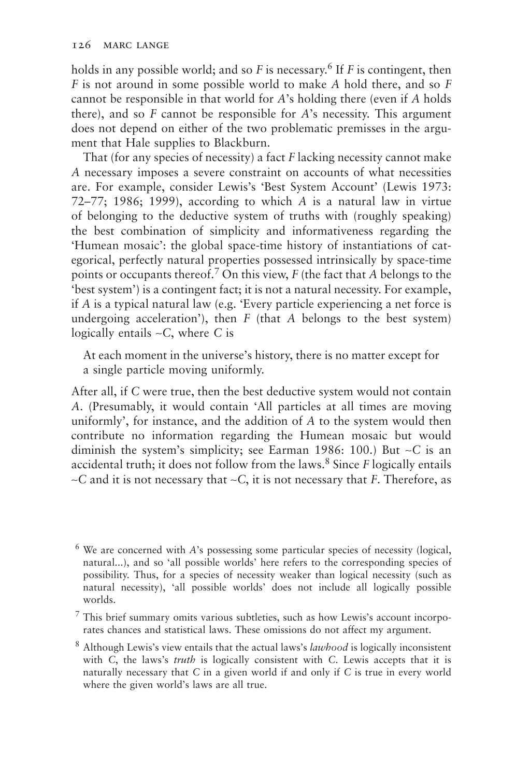holds in any possible world; and so *F* is necessary.<sup>6</sup> If *F* is contingent, then *F* is not around in some possible world to make *A* hold there, and so *F* cannot be responsible in that world for *A*'s holding there (even if *A* holds there), and so *F* cannot be responsible for *A*'s necessity. This argument does not depend on either of the two problematic premisses in the argument that Hale supplies to Blackburn.

That (for any species of necessity) a fact *F* lacking necessity cannot make *A* necessary imposes a severe constraint on accounts of what necessities are. For example, consider Lewis's 'Best System Account' (Lewis 1973: 72–77; 1986; 1999), according to which *A* is a natural law in virtue of belonging to the deductive system of truths with (roughly speaking) the best combination of simplicity and informativeness regarding the 'Humean mosaic': the global space-time history of instantiations of categorical, perfectly natural properties possessed intrinsically by space-time points or occupants thereof.7 On this view, *F* (the fact that *A* belongs to the 'best system') is a contingent fact; it is not a natural necessity. For example, if *A* is a typical natural law (e.g. 'Every particle experiencing a net force is undergoing acceleration'), then *F* (that *A* belongs to the best system) logically entails ~*C*, where *C* is

At each moment in the universe's history, there is no matter except for a single particle moving uniformly.

After all, if *C* were true, then the best deductive system would not contain *A*. (Presumably, it would contain 'All particles at all times are moving uniformly', for instance, and the addition of *A* to the system would then contribute no information regarding the Humean mosaic but would diminish the system's simplicity; see Earman 1986: 100.) But ~*C* is an accidental truth; it does not follow from the laws.<sup>8</sup> Since *F* logically entails ~*C* and it is not necessary that ~*C*, it is not necessary that *F*. Therefore, as

<sup>6</sup> We are concerned with *A*'s possessing some particular species of necessity (logical, natural...), and so 'all possible worlds' here refers to the corresponding species of possibility. Thus, for a species of necessity weaker than logical necessity (such as natural necessity), 'all possible worlds' does not include all logically possible worlds.

<sup>7</sup> This brief summary omits various subtleties, such as how Lewis's account incorporates chances and statistical laws. These omissions do not affect my argument.

<sup>8</sup> Although Lewis's view entails that the actual laws's *lawhood* is logically inconsistent with *C*, the laws's *truth* is logically consistent with *C*. Lewis accepts that it is naturally necessary that *C* in a given world if and only if *C* is true in every world where the given world's laws are all true.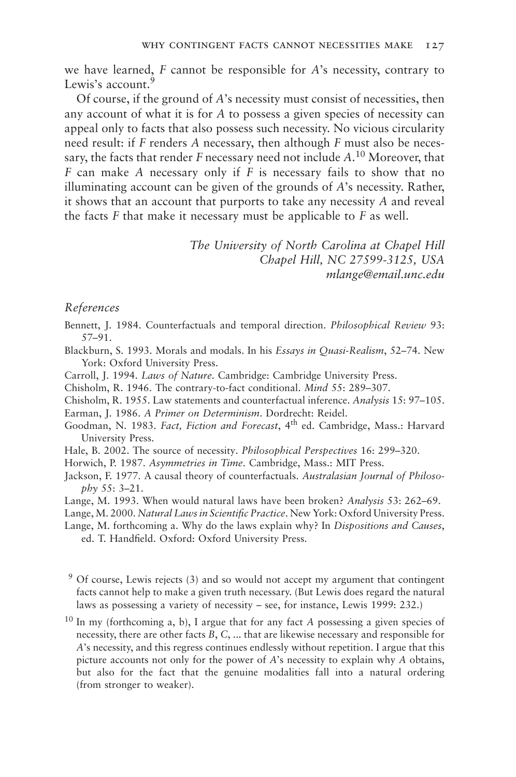we have learned, *F* cannot be responsible for *A*'s necessity, contrary to Lewis's account.<sup>9</sup>

Of course, if the ground of *A*'s necessity must consist of necessities, then any account of what it is for *A* to possess a given species of necessity can appeal only to facts that also possess such necessity. No vicious circularity need result: if *F* renders *A* necessary, then although *F* must also be necessary, the facts that render *F* necessary need not include *A*. <sup>10</sup> Moreover, that *F* can make *A* necessary only if *F* is necessary fails to show that no illuminating account can be given of the grounds of *A*'s necessity. Rather, it shows that an account that purports to take any necessity *A* and reveal the facts *F* that make it necessary must be applicable to *F* as well.

> *The University of North Carolina at Chapel Hill Chapel Hill, NC 27599-3125, USA [mlange@email.unc.edu](mailto:mlange@email.unc.edu)*

## *References*

- Bennett, J. 1984. Counterfactuals and temporal direction. *Philosophical Review* 93: 57–91.
- Blackburn, S. 1993. Morals and modals. In his *Essays in Quasi-Realism*, 52–74. New York: Oxford University Press.
- Carroll, J. 1994. *Laws of Nature*. Cambridge: Cambridge University Press.
- Chisholm, R. 1946. The contrary-to-fact conditional. *Mind* 55: 289–307.
- Chisholm, R. 1955. Law statements and counterfactual inference. *Analysis* 15: 97–105.
- Earman, J. 1986. *A Primer on Determinism*. Dordrecht: Reidel.
- Goodman, N. 1983. *Fact, Fiction and Forecast*, 4th ed. Cambridge, Mass.: Harvard University Press.
- Hale, B. 2002. The source of necessity. *Philosophical Perspectives* 16: 299–320.
- Horwich, P. 1987. *Asymmetries in Time*. Cambridge, Mass.: MIT Press.
- Jackson, F. 1977. A causal theory of counterfactuals. *Australasian Journal of Philosophy* 55: 3–21.
- Lange, M. 1993. When would natural laws have been broken? *Analysis* 53: 262–69.
- Lange, M. 2000. *Natural Laws in Scientific Practice*. New York: Oxford University Press.
- Lange, M. forthcoming a. Why do the laws explain why? In *Dispositions and Causes*, ed. T. Handfield. Oxford: Oxford University Press.
- <sup>9</sup> Of course, Lewis rejects (3) and so would not accept my argument that contingent facts cannot help to make a given truth necessary. (But Lewis does regard the natural laws as possessing a variety of necessity – see, for instance, Lewis 1999: 232.)
- <sup>10</sup> In my (forthcoming a, b), I argue that for any fact *A* possessing a given species of necessity, there are other facts *B*, *C*, ... that are likewise necessary and responsible for *A*'s necessity, and this regress continues endlessly without repetition. I argue that this picture accounts not only for the power of *A*'s necessity to explain why *A* obtains, but also for the fact that the genuine modalities fall into a natural ordering (from stronger to weaker).